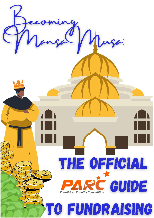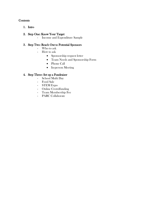# **Contents**

1. Intro

# 2. Step One: Know Your Target

- Income and Expenditure Sample

# 3. Step Two: Reach Out to Potential Sponsors

- Who to ask
- How to ask
	- Sponsorship request letter
	- Team Needs and Sponsorship Form
	- Phone Call
	- In-person Meeting

# 4. Step Three: Set up a Fundraiser

- School Mufti Day
- Food Sale
- STEM Expo
- Online Crowdfunding
- Team Membership Fee
- PARC Collaborate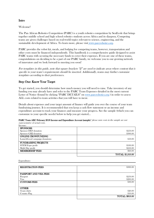### Intro

Welcome!

The Pan African Robotics Competition (PARC) is a youth robotics competition by SenEcole that brings together middle school and high school robotics students across Africa and its diaspora. Competing teams are given challenges based on real-world topics relevant to science, engineering, and the sustainable development of Africa. To learn more, please visit www.parcrobotics.org.

PARC provides the robot kit, meals, and lodging for competing teams, however, transportation and other costs must be financed independently. This handbook is a comprehensive guide designed to assist PARC teams with securing the necessary funds to cover their expenses. If you are one of these teams, congratulations on deciding to be a part of our PARC family, we welcome you to our growing network of innovators and we look forward to meeting you soon!

For templates in this guide, note that square brackets "[]" are used to indicate areas where content that is specific to your team's requirements should be inserted. Additionally, teams may further customize templates according to their preferences.

# Step One: Know Your Target

To get started, you should determine how much money you will need to raise. Take inventory of any funding you may already have and refer to the PARC Team Expenses detailed in the most current Letter of Notice (found by clicking "PARC DETAILS" o[n www.parcrobotics.org](http://www.parcrobotics.org/)) in order to assess ALL costs related to team activities that you will have to incur.

Details about expenses and your target amount of finance will guide you over the course of your team fundraising journey. It is recommended that you keep a cash flow statement or an income and expenditure account to track your finances and measure your progress. See the sample (which you can customize to your specific needs) below to help you get started…

#### PARC Team ABC February 2018 Income and Expenditure Account (sample) \*please note costs in the sample are not representative of actual costs.

| Income:                       |                          |
|-------------------------------|--------------------------|
| <b>SPONSORS</b>               |                          |
| Sponsor DEF donation          | \$250.00                 |
| Sponsor GHI donation          | \$300.00                 |
| <b>ONLINE CROWFUNIDNG</b>     |                          |
| LaunchGood campaign donations | \$50.00                  |
| <b>FUNDRAISING PROJECTS</b>   |                          |
| <b>STEM Expo profit</b>       | \$100.00                 |
| Mufti Day profit              | \$250.00                 |
| <b>MEMBERSHIP FEES</b>        | \$60.00                  |
|                               | <b>TOTAL: \$1,010.00</b> |

Expenditure:

| <b>REGISTRATION FEES</b> | \$300.00               |
|--------------------------|------------------------|
|                          |                        |
|                          |                        |
| PASSPORT AND VISA FEES   |                        |
| Passport                 | \$250.00               |
| <b>Visa</b>              | \$200.00               |
| <b>CUSTOMS FEES</b>      | \$30.00                |
|                          |                        |
|                          |                        |
| <b>OTHER</b>             |                        |
| Team shirts              | \$20.00                |
| Country Flag             | \$10.00                |
|                          | <b>TOTAL: \$810.00</b> |
|                          |                        |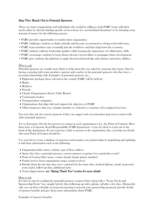# Step Two: Reach Out to Potential Sponsors

There are many organizations and individuals who would be willing to help PARC teams with their needs either by directly funding specific services/items (i.e. need-in-kind donations) or by donating some amount of money for the following reasons:

- PARC provides opportunities to market their organization.
- PARC challenges students to think critically and become accustomed to solving real-world issues.
- PARC team members may eventually join the workforce and thus help boost the economy.
- PARC students cultivate leadership qualities while learning the importance of collaborative skills.
- PARC encourages students to learn about relevant current affairs to propagate future development.
- PARC gives students the platform to apply theoretical knowledge and enhance innovative abilities.

#### Who to ask

Potential sponsors are usually more likely to help when they are asked by someone they know. Start by having a meeting with team members, parents and coaches to list potential sponsors who they have a personal relationship with. Examples of potential sponsors are…

- Diplomats (perhaps those relevant to the country PARC will be held in)
- Banks
- Relatives
- Friends
- Charity Organizations (Lion's Club, Rotary)
- Community leaders
- Transportation companies
- Organizations that align with and support the objectives of PARC
- Other businesses that you, a family member or a friend is a customer of/is employed in/owns

You may also ask any current sponsors if they can suggest and even introduce/put you in contact with other potential sponsors.

Try to determine who the best person to contact at each organization is (i.e. the Point of Contact). Most firms have a Corporate Social Responsibility (CSR) department - it may be ideal to reach out to the head of this department. If your team has a link to anyone in the organization, they can help you decide who your Point of Contact should be.

Use your list to create a database of sponsors and monitor your partnerships by populating and updating it with basic information such as the following:

- Organization Info: name, website, type of firm, address
- Status (Are they a potential sponsor, current sponsor or partner for a particular event?)
- Point of Contact Info: name, contact details (email, phone number)
- Funds/services from organization: target, actual received
- Details about the last time they were contacted by the team: date, method (phone, email, in-person), team rep(s), follow-up date, additional notes
- Team Appreciation: see "Saying Thank You" section for more details

#### How to ask

It is best to start by sending the potential sponsor a request letter along with a "Team Needs and Sponsorship Form" (see sample below), then following up with a phone call after a few days. During this call, you can then schedule an in-person meeting to present your sponsorship proposal, provide details of sponsor benefits and give them more information about PARC.

Examples of sponsor benefits: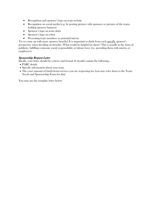- Recognition and sponsor's logo on team website
- Recognition on social media (e.g. by posting pictures with sponsors or pictures of the teams holding sponsor banners)
- Sponsor's logo on team shirts
- Sponsor's logo on robot
- Presenting team members as potential interns

Try to come up with more sponsor benefits! It is important to think from each specific sponsor's perspective when deciding on benefits. What would be helpful for them? This is usually in the form of publicity, fulfilling corporate social responsibility or labour force (i.e. providing them with interns or employees).

#### Sponsorship Request Letter

Ideally, your letter should be concise and formal. It should contain the following...

- PARC details
- Specific information about your team
- The exact amount of funds/items/services you are requesting for (you may refer them to the Team Needs and Sponsorship Form for this)

You may use the template letter below: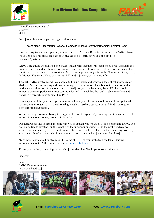



[school/organization name] **[address]** [date]

Dear [potential sponsor/partner organization name],

### [team name] Pan African Robotics Competition [sponsorship/partnership] Request Letter

I am writing to you as a participant of the Pan African Robotics Challenge (PARC) from [your school/organization name] in the hopes of gaining your support as a [sponsor/partner].

PARC is an annual event hosted by SenEcole that brings together students from all over Africa and the diaspora for a three-day robotics competition themed on a real-world topic relevant to science and the sustainable development of the continent. Media coverage has ranged from the New York Times, BBC, Le Monde, France 24, Voice of America, RFI, and Aljazeera, just to name a few.

Through PARC, my team and I collaborate to think critically and apply our theoretical knowledge of Math and Science by building and programming purposeful robots. [details about number of students on the team and information about your coach(es)]. As you may be aware, the STEM field holds immense power to positively impact communities and it is vital that the youth is able to explore and engage in it through opportunities like PARC.

In anticipation of this year's competition in [month and year of competition], we are, from [potential sponsor/partner organization name], seeking [details of services/items/amount of funds you require from this sponsor/partner].

We are looking forward to having the support of [potential sponsor/partner organization name]. [brief information about sponsor/partnership benefits].

Our team would like to plan a meeting with you to explain why we are so keen on attending PARC. We would also like to expatiate on the benefits of [partnering/sponsoring] us. In the next few days, my [coach/team member], [coach name/team member name], will be calling to set up a meeting. You may also contact [him/her] at [coach phone number] or send an e-mail to [team e-mail address].

More information about our team can be found at [URL of team website, if available]. Further information about PARC can be found at [www.parcrobotics.org.](http://www.parcrobotics.org/)

Thank you for the [partnership/sponsorship] consideration. We hope to work with you soon!

Sincerely,

[name] PARC Team team name] [team email address]



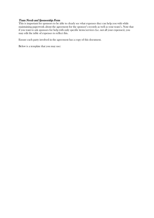#### Team Needs and Sponsorship Form

This is important for sponsors to be able to clearly see what expenses they can help you with while maintaining paperwork about the agreement for the sponsor's records as well as your team's. Note that if you want to ask sponsors for help with only specific items/services (i.e. not all your expenses), you may edit the table of expenses to reflect this.

Ensure each party involved in the agreement has a copy of this document.

Below is a template that you may use: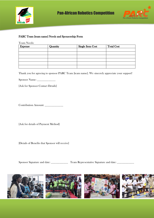



#### PARC Team [team name] Needs and Sponsorship Form

Team Needs:

| <b>Expense</b> | Quantity | <b>Single Item Cost</b> | <b>Total Cost</b> |
|----------------|----------|-------------------------|-------------------|
|                |          |                         |                   |
|                |          |                         |                   |
|                |          |                         |                   |
|                |          |                         |                   |
|                |          |                         |                   |
|                |          |                         |                   |

Thank you for agreeing to sponsor PARC Team [team name]. We sincerely appreciate your support!

Sponsor Name: \_\_\_\_\_\_\_\_\_\_\_\_\_

[Ask for Sponsor Contact Details]

Contribution Amount: \_\_\_\_\_\_\_\_\_\_\_\_\_

[Ask for details of Payment Method]

[Details of Benefits that Sponsor will receive]

Sponsor Signature and date: \_\_\_\_\_\_\_\_\_\_\_\_\_\_ Team Representative Signature and date: \_\_\_\_\_\_\_\_\_\_\_\_\_\_\_\_

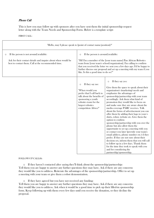### Phone Call

This is how you may follow up with sponsors after you have sent them the initial sponsorship request letter along with the Team Needs and Sponsorship Form. Below is a template script:

FIRST CALL:

| "Hello, may I please speak to [point of contact name/position]?"                                                                                                          |                                                                                                                                                                                                                                                                                                                                                                                     |                                                                                                                                                                                                                                                                                                                                                                                                                                                                                                                                                                                                                                                                                                                                                                                                                                                                                                                                                                                  |
|---------------------------------------------------------------------------------------------------------------------------------------------------------------------------|-------------------------------------------------------------------------------------------------------------------------------------------------------------------------------------------------------------------------------------------------------------------------------------------------------------------------------------------------------------------------------------|----------------------------------------------------------------------------------------------------------------------------------------------------------------------------------------------------------------------------------------------------------------------------------------------------------------------------------------------------------------------------------------------------------------------------------------------------------------------------------------------------------------------------------------------------------------------------------------------------------------------------------------------------------------------------------------------------------------------------------------------------------------------------------------------------------------------------------------------------------------------------------------------------------------------------------------------------------------------------------|
| If the person is not around/available:<br>$\circ$<br>Ask for their contact details and inquire about when would be<br>best to contact them. Call at the recommended time. | If the person is around/available:<br>$\circ$<br>"Hi! I'm a member of the [your team name] Pan African Robotics<br>team from [your team's school/organization]. I'm calling to confirm<br>that you received the letter we sent you a few days ago. I'd be happy to<br>further discuss our proposal and set up a meeting with my team if you<br>like. Is this a good time to do so?" |                                                                                                                                                                                                                                                                                                                                                                                                                                                                                                                                                                                                                                                                                                                                                                                                                                                                                                                                                                                  |
|                                                                                                                                                                           | If they say no:<br>$\circ$<br>"When would you<br>prefer that I call back to<br>talk about the benefits of<br>sponsoring a youth<br>robotics team for the<br>largest robotics<br>competition Africa?"                                                                                                                                                                                | If they say yes:<br>$\circ$<br>Give them the space to speak about their<br>organization's (marketing) needs and<br>emphasize the advantages of<br>sponsorship/partnership with your team<br>accordingly. Ask them what kind of<br>promotion they would like to focus on<br>and make sure they are aware about the<br>media coverage PARC receives. Talk<br>about the forms of advertisement you can<br>offer them by adding their logo to your t-<br>shirts, robot, website etc. Give them the<br>option to confirm<br>sponsorship/partnership with you over the<br>phone but also allow them the<br>opportunity to set up a meeting with you<br>or contact you later (provide your team's<br>email address, phone number etc.) if they<br>prefer. If they are not sure about their<br>decision yet, inform them that you will call<br>to follow up in a few days. Thank them<br>for the time they took to speak with you<br>and for considering the<br>partnership/sponsorship. |

#### FOLLOW-UP CALL(S):

o If they haven't contacted after saying they'll think about the sponsorship/partnership: Tell them you are happy to answer any further questions they may have. Ask if there are any concerns they would like you to address. Reiterate the advantages of the sponsorship/partnership. Offer to set up a meeting with your team or give them a robot demonstration.

o If they have agreed but you have not received any funding:

Tell them you are happy to answer any further questions they may have. Ask if there are any concerns they would like you to address. Ask when it would be a good time to pick up their filled-in sponsorship form. Keep following up with them every few days until you receive the donation, or they decline the proposal.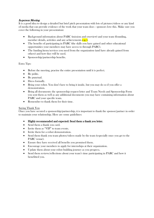# In-person Meeting

It is a good idea to design a detailed but brief pitch presentation with lots of pictures/videos or any kind of media that can provide evidence of the work that your team does - sponsors love this. Make sure you cover the following in your presentation:

- Background information about PARC (mission and overview) and your team (founding, member details, activities and any achievements **e.g.**).
- The benefits of participating in PARC (the skills you have gained and other educational opportunities your members may have access to through PARC).
- The funding/items/services you need from the organization (and have already gained from others) and how they will be used.
- Sponsorship/partnership benefits.

## Extra Tips:

- Before the meeting, practise the entire presentation until it is perfect.
- Be polite.
- Be punctual.
- Dress formally.
- Bring your robot. You don't have to bring it inside, but you may do so if you offer a demonstration.
- Bring all documents: the sponsorship request letter and Team Needs and Sponsorship Form you sent them as well as any additional documents you may have containing information about PARC and your specific team.
- Remember to thank them for their time.

#### Saying Thank You

Once you have secured a sponsorship/partnership, it is important to thank the sponsor/partner in order to maintain your relationship. Here are some guidelines:

- Highly recommended and expected: Send them a thank you letter.
- Send them a thank you card.
- Invite them as "VIP" to team events.
- Invite them for a robot demonstration.
- Send them thank you team photos/videos made by the team (especially once you get to the PARC venue).
- Ensure they have received all benefits you promised them.
- Encourage your members to apply for internships at their organization.
- Update them about your robot building journey as you progress.
- Send them reviews/reflections about your team's time participating in PARC and how it benefitted you.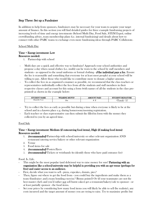# Step Three: Set up a Fundraiser

In addition to help from sponsors, fundraisers may be necessary for your team to acquire your target amount of finance. In this section you will find detailed guides for three example fundraising projects of increasing levels of time and energy investments (School Mufti Day, Food Sale, STEM Expo), online crowdfunding advice, team membership plans (i.e. internal fundraising) and details about how to connect with other PARC teams to exchange even more fundraising ideas through PARC Collaborate.

#### School Mufti Day

#### Time + Energy investment: Low Resources needed:

1. Partnership with school

- Mufti days are a quick and effective way to fundraise! Approach your school authorities and propose a day when casual clothes (i.e. mufti) can be worn to the school by staff members and students - as opposed to the usual uniforms or formal clothing -  $\mathbf{i}$  the individual pays a fee. Ensure the fee is reasonable and something that everyone (or at least most people) at your school will be willing to pay. Allow those who would like to contribute more to donate a higher amount.
- To collect the fees in as organized a manner as possible, we recommend that the class teachers or representatives individually collect the fees from all the students and staff members in their respective classes and account for this using a form (with names of all the students in the class preprinted) as shown in the example below:

| <b>UDENT NAME</b><br>cirre | <b>ING MUFTI?</b><br>.<br>. ЕАК. | UNT PAID<br>AM' | <b>SIGNATURE</b><br><b>TARATT .</b><br>н нам |
|----------------------------|----------------------------------|-----------------|----------------------------------------------|
| Daniella<br><b>ZOF</b>     | ves                              |                 | vamella<br>$\iota$                           |

- Try to collect the fees as early as possible but during a time when everyone is likely to be at the school and in a known place e.g. during homeroom/morning registration.
- Each teacher or class representative can then submit the filled-in form with the money they collected to you by an agreed time.

#### Food Sale

#### Time + Energy investment: Medium (if outsourcing food items), High (if making food items) Resources needed:

- 1. (recommended) Partnership with school/university or other relevant organization AND restaurant/catering service/bakery or other relevant organization
- 2. Venue
- 3. Food items for sale
- 4. *(recommended)* Posters/flyers
- 5. (recommended) Tickets or wristbands (to identify those who have paid entrance fee)

#### Food. Is. Life.

- This might be the most popular (and delicious) way to raise money for sure! **Partnering with an** organization like a school/university may be helpful in providing you with an apt venue (perhaps for free) and easier access to an audience.
- First, decide what you want to sell pizza, cupcakes, donuts, pies?
- Then, figure out where to get the food from you could buy the ingredients and make them as a team (fundraiser and a team bonding exercise? Bonus points!) Or (if your teammates are not the best master chefs and you'd rather not sell burnt cakes) get a restaurant/bakery/cafe to sponsor - or at least partially sponsor - the food items.
- Set your prices by considering how many food items you will likely be able to sell (be realistic), any costs incurred and the target amount of money you are trying to raise. Try to maximise profits but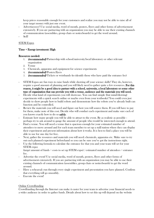keep prices reasonable enough for your customers and realize you may not be able to raise all of your target money with just one event.

- Advertiseeeee! Use social media, word of mouth, posters, flyers and other forms of advertisement extensively. If you are partnering with an organization you may be able to use their existing channels of communication (assemblies, group chats or noticeboards) to get the word around.
- Sell!

### STEM Expos

#### Time + Energy investment: High

#### Resources needed:

- 1. (recommended) Partnership with school/university/local laboratory or other relevant organization
- 2. Venue
- 3. Chemicals, apparatus and equipment for science experiments
- 4. (recommended) Posters/flyers
- 5. (recommended) Tickets or wristbands (to identify those who have paid the entrance fee)
- STEM Expos are fun ways to raise funds while showing off your science skills! They do, however, require a good amount of planning and you will likely need to gather quite a few resources. For this reason, it might be a good idea to partner with a school, university, a local laboratory or some other type of organization that can provide you with a venue, audience and the materials you will need.
- Decide what kind of experiments you will showcase. You can find simple (but mind-blowing) experiments with a quick search online or maybe even from your textbooks! You could even just decide to show people how to build robots and demonstrate how the robots you've already built can function and be controlled.
- Review the materials you will need and figure out how you will source them. If you will have to pay for them, make note of this cost. Decide who will conduct each experiment and make sure each of you knows exactly how to do so safely.
- Estimate how many people you will be able to attract to the event. Be as realistic as possible perhaps try to ask around to gauge the amount of people who would be interested enough to attend.
- Find a venue. You will need a venue that is spacious enough for your estimated number of attendees to move around and for each team member to set up a stall/station where they can display their experiment and present information about how it works. It is best to find a place you will be able to use for one day for free.
- Next, gather the resources and materials you will need: chemicals, apparatus etc. Make sure to try out each planned experiment beforehand so you can be sure you've got the instructions right.
- Use the following formula to calculate the entrance fee that you and your team will set for your STEM expo:

(target amount of funds + costs to set up STEM expo) / estimated number of attendees = entrance fee.

- Advertise the event! Use social media, word of mouth, posters, flyers and other forms of advertisement extensively. If you are partnering with an organization you may be able to use their existing channels of communication (assemblies, group chats or noticeboards) to get the word around.
- Have a rehearsal: run through every single experiment and presentation you have planned. Confirm that everything will go smoothly.
- Execute the event!

#### Online Crowdfunding

Crowdfunding through the Internet can make it easier for your team to advertise your financial needs to a wider audience in order to gather funds. Details about how to set this up will depend on the website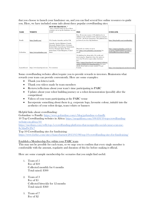that you choose to launch your fundraiser on, and you can find several free online resources to guide you. Here, we have included some info about three popular crowdfunding sites:

| <b>NAME</b> | <b>WEBSITE</b>                               | <b>MUST BE CREATED IN*</b><br><i>*note: a trusted contact in one of these</i><br>countries can set up the fundraiser on your<br>behalf                                                                             | <b>FEES</b>                                                                                                                                                                                                                                                                                                       | <b>GUIDE LINK</b>                                                                                             |  |
|-------------|----------------------------------------------|--------------------------------------------------------------------------------------------------------------------------------------------------------------------------------------------------------------------|-------------------------------------------------------------------------------------------------------------------------------------------------------------------------------------------------------------------------------------------------------------------------------------------------------------------|---------------------------------------------------------------------------------------------------------------|--|
| Fundly      | https://fundly.com/                          | US, Canada, Australia, and the UK.                                                                                                                                                                                 | Free. If you raise money: 4.9% platform fee in<br>addition to the standard credit card processing fee<br>of $2.9\% + $0.30$ per transaction. The platform fees<br>go down if you run a big fundraiser.                                                                                                            | https://blog.fundly.com/crowdfunding/                                                                         |  |
| Gofundme    | https://www.gofundme.com/                    | Australia, Austria, Belgium, Canada,<br>Denmark, Finland, France, Germany,<br>Ireland, Italy, Luxembourg, Netherlands,<br>Norway, Portugal, Spain, Sweden,<br>Switzerland, United Kingdom, United<br><b>States</b> | Depends on country set up in.<br>See: https://www.gofundme.com/pricing/ for<br>details                                                                                                                                                                                                                            | https://support.gofundme.com/hc/en-<br>us/articles/360001992627-Creating-a-<br>GoFundMe-From-Start-to-Finish- |  |
| LaunchGood  | https://www.launchgood.com/   No restriction |                                                                                                                                                                                                                    | 5% platform fee along with a 3% credit card<br>processing fee. Supporters have the option to<br>cover the 8% in fees upon online checkout.<br>See:<br>https://support.launchgood.com/support/solutions/<br>articles/35000015015-launchgood-fees for more<br>details about bank accounts outside US and<br>Canada. | https://www.launchgood.com/how-it-works                                                                       |  |
|             |                                              |                                                                                                                                                                                                                    |                                                                                                                                                                                                                                                                                                                   |                                                                                                               |  |

Some crowdfunding websites allow/require you to provide rewards to investors. Brainstorm what rewards your team can provide conveniently. Here are some examples:

- Thank you letters/cards
- Thank you videos made by team members
- Reviews/reflections about your team's time participating in PARC
- Updates about your robot building journey or a robot demonstration (possibly after the competition)
- Videos of your team participating at the PARC venue
- Incorporate something about them (e.g. corporate logo, favourite colour, initials) into the aesthetics of your robot design, team t-shirts or banners

#### Helpful links about crowdfunding:

Gofundme vs Fundly:<https://www.gofundme.com/c/blog/gofundme-vs-fundly>

10 Top Crowdfunding websites in Africa: [https://moguldom.com/106418/10-top-crowdfunding](https://moguldom.com/106418/10-top-crowdfunding-websites-in-africa/10/)[websites-in-africa/10/](https://moguldom.com/106418/10-top-crowdfunding-websites-in-africa/10/)

[https://medium.com/swlh/top-5-crowdfunding-platforms-that-nonprofits-social-causes-can-use-](https://medium.com/swlh/top-5-crowdfunding-platforms-that-nonprofits-social-causes-can-use-8e3dad9c29c7)[8e3dad9c29c7](https://medium.com/swlh/top-5-crowdfunding-platforms-that-nonprofits-social-causes-can-use-8e3dad9c29c7)

Top 10 Crowdfunding sites for fundraising: <https://www.forbes.com/sites/chancebarnett/2013/05/08/top-10-crowdfunding-sites-for-fundraising/>

#### Establish a Membership Fee within your PARC team

This may not be possible for each team, so we urge you to confirm that every single member is comfortable with the amount, regularity and duration of this fee before making it official.

Here are some example membership fee scenarios that you might find useful:

- 1. Team of 5 Fee of \$10 Collected monthly for 6 months Total raised: \$300
- 2. Team of 3 Fee of \$5 Collected biweekly for 12 months Total raised: \$360
- 3. Team of 7 Fee of \$2